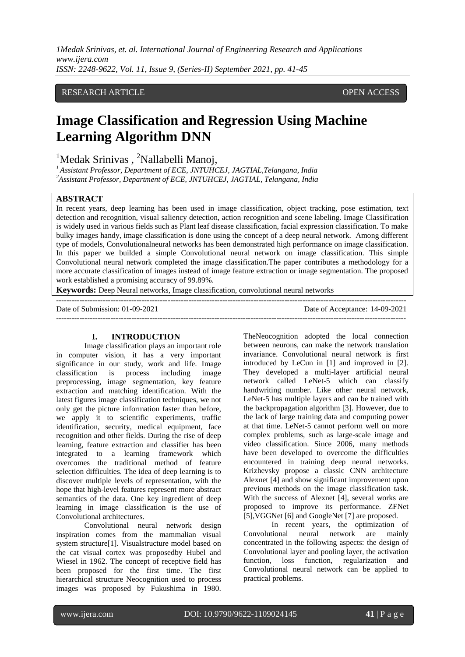*1Medak Srinivas, et. al. International Journal of Engineering Research and Applications www.ijera.com ISSN: 2248-9622, Vol. 11, Issue 9, (Series-II) September 2021, pp. 41-45*

# RESEARCH ARTICLE OPEN ACCESS

# **Image Classification and Regression Using Machine Learning Algorithm DNN**

 $1$ Medak Srinivas,  $2$ Nallabelli Manoj,

*<sup>1</sup>Assistant Professor, Department of ECE, JNTUHCEJ, JAGTIAL,Telangana, India <sup>2</sup>Assistant Professor, Department of ECE, JNTUHCEJ, JAGTIAL, Telangana, India*

#### **ABSTRACT**

In recent years, deep learning has been used in image classification, object tracking, pose estimation, text detection and recognition, visual saliency detection, action recognition and scene labeling. Image Classification is widely used in various fields such as Plant leaf disease classification, facial expression classification. To make bulky images handy, image classification is done using the concept of a deep neural network. Among different type of models, Convolutionalneural networks has been demonstrated high performance on image classification. In this paper we builded a simple Convolutional neural network on image classification. This simple Convolutional neural network completed the image classification.The paper contributes a methodology for a more accurate classification of images instead of image feature extraction or image segmentation. The proposed work established a promising accuracy of 99.89%.

 $-++++++++++$ 

**Keywords:** Deep Neural networks, Image classification, convolutional neural networks

Date of Submission: 01-09-2021 Date of Acceptance: 14-09-2021

---------------------------------------------------------------------------------------------------------------------------------------

#### **I. INTRODUCTION**

Image classification plays an important role in computer vision, it has a very important significance in our study, work and life. Image classification is process including image preprocessing, image segmentation, key feature extraction and matching identification. With the latest figures image classification techniques, we not only get the picture information faster than before, we apply it to scientific experiments, traffic identification, security, medical equipment, face recognition and other fields. During the rise of deep learning, feature extraction and classifier has been integrated to a learning framework which overcomes the traditional method of feature selection difficulties. The idea of deep learning is to discover multiple levels of representation, with the hope that high-level features represent more abstract semantics of the data. One key ingredient of deep learning in image classification is the use of Convolutional architectures.

Convolutional neural network design inspiration comes from the mammalian visual system structure[1]. Visualstructure model based on the cat visual cortex was proposedby Hubel and Wiesel in 1962. The concept of receptive field has been proposed for the first time. The first hierarchical structure Neocognition used to process images was proposed by Fukushima in 1980. TheNeocognition adopted the local connection between neurons, can make the network translation invariance. Convolutional neural network is first introduced by LeCun in [1] and improved in [2]. They developed a multi-layer artificial neural network called LeNet-5 which can classify handwriting number. Like other neural network, LeNet-5 has multiple layers and can be trained with the backpropagation algorithm [3]. However, due to the lack of large training data and computing power at that time. LeNet-5 cannot perform well on more complex problems, such as large-scale image and video classification. Since 2006, many methods have been developed to overcome the difficulties encountered in training deep neural networks. Krizhevsky propose a classic CNN architecture Alexnet [4] and show significant improvement upon previous methods on the image classification task. With the success of Alexnet [4], several works are proposed to improve its performance. ZFNet [5],VGGNet [6] and GoogleNet [7] are proposed.

In recent years, the optimization of Convolutional neural network are mainly concentrated in the following aspects: the design of Convolutional layer and pooling layer, the activation function, loss function, regularization and Convolutional neural network can be applied to practical problems.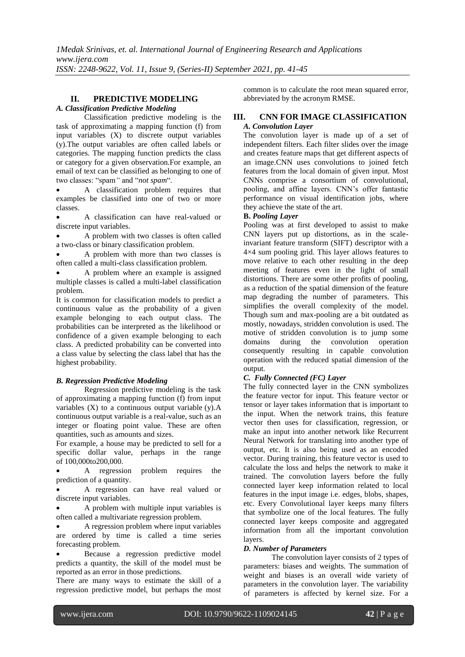# **II. PREDICTIVE MODELING**

# *A. Classification Predictive Modeling*

Classification predictive modeling is the task of approximating a mapping function (f) from input variables (X) to discrete output variables (y).The output variables are often called labels or categories. The mapping function predicts the class or category for a given observation.For example, an email of text can be classified as belonging to one of two classes: "spam*"* and "*not spam*".

 A classification problem requires that examples be classified into one of two or more classes.

 A classification can have real-valued or discrete input variables.

 A problem with two classes is often called a two-class or binary classification problem.

 A problem with more than two classes is often called a multi-class classification problem.

 A problem where an example is assigned multiple classes is called a multi-label classification problem.

It is common for classification models to predict a continuous value as the probability of a given example belonging to each output class. The probabilities can be interpreted as the likelihood or confidence of a given example belonging to each class. A predicted probability can be converted into a class value by selecting the class label that has the highest probability.

## *B. Regression Predictive Modeling*

Regression predictive modeling is the task of approximating a mapping function (f) from input variables  $(X)$  to a continuous output variable  $(v)$ . A continuous output variable is a real-value, such as an integer or floating point value. These are often quantities, such as amounts and sizes.

For example, a house may be predicted to sell for a specific dollar value, perhaps in the range of 100,000to200,000.

 A regression problem requires the prediction of a quantity.

 A regression can have real valued or discrete input variables.

 A problem with multiple input variables is often called a multivariate regression problem.

 A regression problem where input variables are ordered by time is called a time series forecasting problem.

 Because a regression predictive model predicts a quantity, the skill of the model must be reported as an error in those predictions.

There are many ways to estimate the skill of a regression predictive model, but perhaps the most common is to calculate the root mean squared error, abbreviated by the acronym RMSE.

# **III. CNN FOR IMAGE CLASSIFICATION** *A. Convolution Layer*

The convolution layer is made up of a set of independent filters. Each filter slides over the image and creates feature maps that get different aspects of an image.CNN uses convolutions to joined fetch features from the local domain of given input. Most CNNs comprise a consortium of convolutional, pooling, and affine layers. CNN's offer fantastic performance on visual identification jobs, where they achieve the state of the art.

#### **B.** *Pooling Layer*

Pooling was at first developed to assist to make CNN layers put up distortions, as in the scaleinvariant feature transform (SIFT) descriptor with a 4×4 sum pooling grid. This layer allows features to move relative to each other resulting in the deep meeting of features even in the light of small distortions. There are some other profits of pooling, as a reduction of the spatial dimension of the feature map degrading the number of parameters. This simplifies the overall complexity of the model. Though sum and max-pooling are a bit outdated as mostly, nowadays, stridden convolution is used. The motive of stridden convolution is to jump some domains during the convolution operation consequently resulting in capable convolution operation with the reduced spatial dimension of the output.

## *C. Fully Connected (FC) Layer*

The fully connected layer in the CNN symbolizes the feature vector for input. This feature vector or tensor or layer takes information that is important to the input. When the network trains, this feature vector then uses for classification, regression, or make an input into another network like Recurrent Neural Network for translating into another type of output, etc. It is also being used as an encoded vector. During training, this feature vector is used to calculate the loss and helps the network to make it trained. The convolution layers before the fully connected layer keep information related to local features in the input image i.e. edges, blobs, shapes, etc. Every Convolutional layer keeps many filters that symbolize one of the local features. The fully connected layer keeps composite and aggregated information from all the important convolution layers.

# *D. Number of Parameters*

The convolution layer consists of 2 types of parameters: biases and weights. The summation of weight and biases is an overall wide variety of parameters in the convolution layer. The variability of parameters is affected by kernel size. For a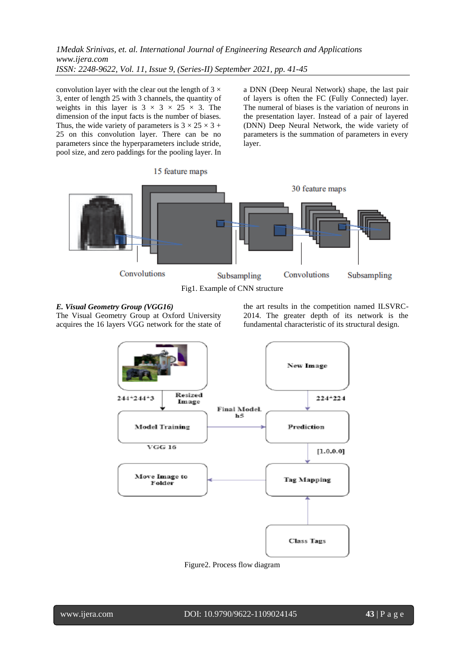convolution layer with the clear out the length of  $3 \times$ 3, enter of length 25 with 3 channels, the quantity of weights in this layer is  $3 \times 3 \times 25 \times 3$ . The dimension of the input facts is the number of biases. Thus, the wide variety of parameters is  $3 \times 25 \times 3 +$ 25 on this convolution layer. There can be no parameters since the hyperparameters include stride, pool size, and zero paddings for the pooling layer. In a DNN (Deep Neural Network) shape, the last pair of layers is often the FC (Fully Connected) layer. The numeral of biases is the variation of neurons in the presentation layer. Instead of a pair of layered (DNN) Deep Neural Network, the wide variety of parameters is the summation of parameters in every layer.



# *E. Visual Geometry Group (VGG16)*

The Visual Geometry Group at Oxford University acquires the 16 layers VGG network for the state of the art results in the competition named ILSVRC-2014. The greater depth of its network is the fundamental characteristic of its structural design.



Figure2. Process flow diagram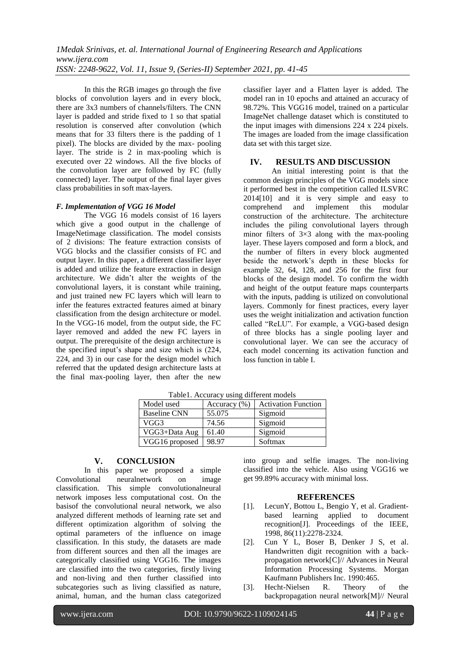In this the RGB images go through the five blocks of convolution layers and in every block, there are 3x3 numbers of channels/filters. The CNN layer is padded and stride fixed to 1 so that spatial resolution is conserved after convolution (which means that for 33 filters there is the padding of 1 pixel). The blocks are divided by the max- pooling layer. The stride is 2 in max-pooling which is executed over 22 windows. All the five blocks of the convolution layer are followed by FC (fully connected) layer. The output of the final layer gives class probabilities in soft max-layers.

#### *F. Implementation of VGG 16 Model*

The VGG 16 models consist of 16 layers which give a good output in the challenge of ImageNetimage classification. The model consists of 2 divisions: The feature extraction consists of VGG blocks and the classifier consists of FC and output layer. In this paper, a different classifier layer is added and utilize the feature extraction in design architecture. We didn't alter the weights of the convolutional layers, it is constant while training, and just trained new FC layers which will learn to infer the features extracted features aimed at binary classification from the design architecture or model. In the VGG-16 model, from the output side, the FC layer removed and added the new FC layers in output. The prerequisite of the design architecture is the specified input's shape and size which is (224, 224, and 3) in our case for the design model which referred that the updated design architecture lasts at the final max-pooling layer, then after the new classifier layer and a Flatten layer is added. The model ran in 10 epochs and attained an accuracy of 98.72%. This VGG16 model, trained on a particular ImageNet challenge dataset which is constituted to the input images with dimensions 224 x 224 pixels. The images are loaded from the image classification data set with this target size.

#### **IV. RESULTS AND DISCUSSION**

An initial interesting point is that the common design principles of the VGG models since it performed best in the competition called ILSVRC 2014[10] and it is very simple and easy to comprehend and implement this modular construction of the architecture. The architecture includes the piling convolutional layers through minor filters of  $3\times3$  along with the max-pooling layer. These layers composed and form a block, and the number of filters in every block augmented beside the network's depth in these blocks for example 32, 64, 128, and 256 for the first four blocks of the design model. To confirm the width and height of the output feature maps counterparts with the inputs, padding is utilized on convolutional layers. Commonly for finest practices, every layer uses the weight initialization and activation function called "ReLU". For example, a VGG-based design of three blocks has a single pooling layer and convolutional layer. We can see the accuracy of each model concerning its activation function and loss function in table I.

| Model used          | Accuracy $(\% )$ | <b>Activation Function</b> |
|---------------------|------------------|----------------------------|
| <b>Baseline CNN</b> | 55.075           | Sigmoid                    |
| VGG3                | 74.56            | Sigmoid                    |
| VGG3+Data Aug       | 61.40            | Sigmoid                    |
| VGG16 proposed      | 98.97            | Softmax                    |

Table1. Accuracy using different models

## **V. CONCLUSION**

In this paper we proposed a simple Convolutional neuralnetwork on image classification. This simple convolutionalneural network imposes less computational cost. On the basisof the convolutional neural network, we also analyzed different methods of learning rate set and different optimization algorithm of solving the optimal parameters of the influence on image classification. In this study, the datasets are made from different sources and then all the images are categorically classified using VGG16. The images are classified into the two categories, firstly living and non-living and then further classified into subcategories such as living classified as nature, animal, human, and the human class categorized into group and selfie images. The non-living classified into the vehicle. Also using VGG16 we get 99.89% accuracy with minimal loss.

#### **REFERENCES**

- [1]. LecunY, Bottou L, Bengio Y, et al. Gradientbased learning applied to document recognition[J]. Proceedings of the IEEE, 1998, 86(11):2278-2324.
- [2]. Cun Y L, Boser B, Denker J S, et al. Handwritten digit recognition with a backpropagation network[C]// Advances in Neural Information Processing Systems. Morgan Kaufmann Publishers Inc. 1990:465.
- [3]. Hecht-Nielsen R. Theory of the backpropagation neural network[M]// Neural